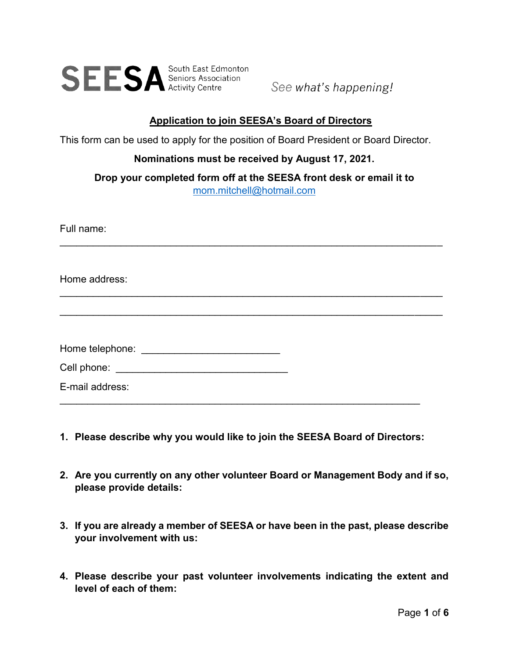

See what's happening!

### **Application to join SEESA's Board of Directors**

This form can be used to apply for the position of Board President or Board Director.

#### **Nominations must be received by August 17, 2021.**

**Drop your completed form off at the SEESA front desk or email it to** [mom.mitchell@hotmail.com](mailto:mom.mitchell@hotmail.com)

| Full name:                                     |  |
|------------------------------------------------|--|
| Home address:                                  |  |
|                                                |  |
| Home telephone: ____________________________   |  |
| Cell phone: __________________________________ |  |
| E-mail address:                                |  |

- **1. Please describe why you would like to join the SEESA Board of Directors:**
- **2. Are you currently on any other volunteer Board or Management Body and if so, please provide details:**
- **3. If you are already a member of SEESA or have been in the past, please describe your involvement with us:**
- **4. Please describe your past volunteer involvements indicating the extent and level of each of them:**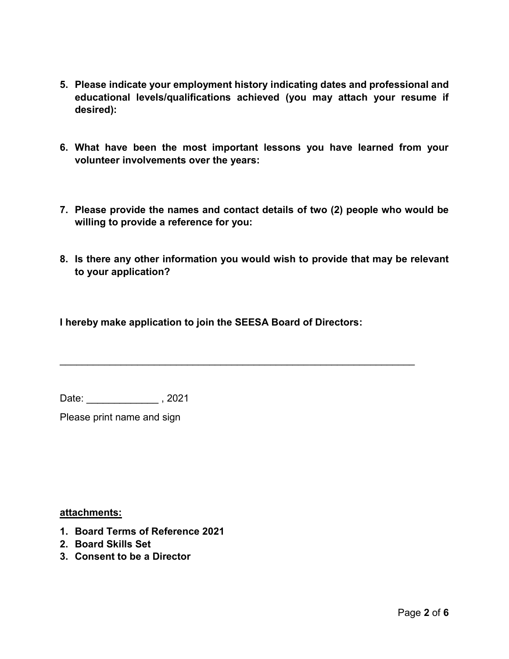- **5. Please indicate your employment history indicating dates and professional and educational levels/qualifications achieved (you may attach your resume if desired):**
- **6. What have been the most important lessons you have learned from your volunteer involvements over the years:**
- **7. Please provide the names and contact details of two (2) people who would be willing to provide a reference for you:**
- **8. Is there any other information you would wish to provide that may be relevant to your application?**

**I hereby make application to join the SEESA Board of Directors:**

\_\_\_\_\_\_\_\_\_\_\_\_\_\_\_\_\_\_\_\_\_\_\_\_\_\_\_\_\_\_\_\_\_\_\_\_\_\_\_\_\_\_\_\_\_\_\_\_\_\_\_\_\_\_\_\_\_\_\_\_\_\_\_\_

Date: \_\_\_\_\_\_\_\_\_\_\_\_\_\_\_, 2021

Please print name and sign

**attachments:**

- **1. Board Terms of Reference 2021**
- **2. Board Skills Set**
- **3. Consent to be a Director**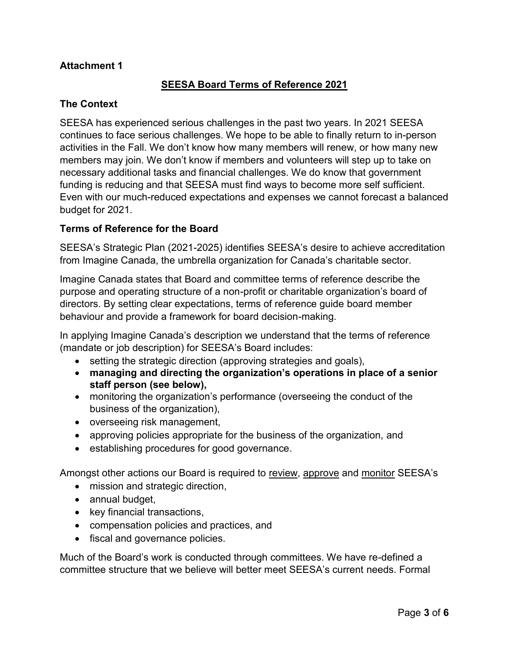# **Attachment 1**

# **SEESA Board Terms of Reference 2021**

### **The Context**

SEESA has experienced serious challenges in the past two years. In 2021 SEESA continues to face serious challenges. We hope to be able to finally return to in-person activities in the Fall. We don't know how many members will renew, or how many new members may join. We don't know if members and volunteers will step up to take on necessary additional tasks and financial challenges. We do know that government funding is reducing and that SEESA must find ways to become more self sufficient. Even with our much-reduced expectations and expenses we cannot forecast a balanced budget for 2021.

#### **Terms of Reference for the Board**

SEESA's Strategic Plan (2021-2025) identifies SEESA's desire to achieve accreditation from Imagine Canada, the umbrella organization for Canada's charitable sector.

Imagine Canada states that Board and committee terms of reference describe the purpose and operating structure of a non-profit or charitable organization's board of directors. By setting clear expectations, terms of reference guide board member behaviour and provide a framework for board decision-making.

In applying Imagine Canada's description we understand that the terms of reference (mandate or job description) for SEESA's Board includes:

- setting the strategic direction (approving strategies and goals),
- **managing and directing the organization's operations in place of a senior staff person (see below),**
- monitoring the organization's performance (overseeing the conduct of the business of the organization),
- overseeing risk management,
- approving policies appropriate for the business of the organization, and
- establishing procedures for good governance.

Amongst other actions our Board is required to review, approve and monitor SEESA's

- mission and strategic direction,
- annual budget,
- key financial transactions,
- compensation policies and practices, and
- fiscal and governance policies.

Much of the Board's work is conducted through committees. We have re-defined a committee structure that we believe will better meet SEESA's current needs. Formal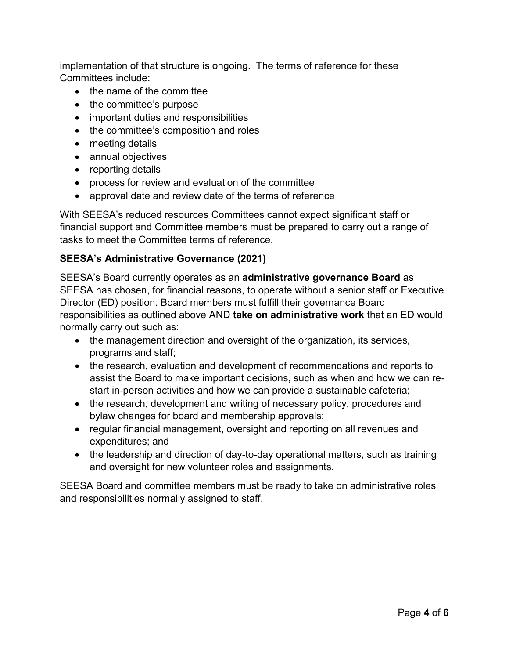implementation of that structure is ongoing. The terms of reference for these Committees include:

- the name of the committee
- the committee's purpose
- important duties and responsibilities
- the committee's composition and roles
- meeting details
- annual objectives
- reporting details
- process for review and evaluation of the committee
- approval date and review date of the terms of reference

With SEESA's reduced resources Committees cannot expect significant staff or financial support and Committee members must be prepared to carry out a range of tasks to meet the Committee terms of reference.

# **SEESA's Administrative Governance (2021)**

SEESA's Board currently operates as an **administrative governance Board** as SEESA has chosen, for financial reasons, to operate without a senior staff or Executive Director (ED) position. Board members must fulfill their governance Board responsibilities as outlined above AND **take on administrative work** that an ED would normally carry out such as:

- the management direction and oversight of the organization, its services, programs and staff;
- the research, evaluation and development of recommendations and reports to assist the Board to make important decisions, such as when and how we can restart in-person activities and how we can provide a sustainable cafeteria;
- the research, development and writing of necessary policy, procedures and bylaw changes for board and membership approvals;
- regular financial management, oversight and reporting on all revenues and expenditures; and
- the leadership and direction of day-to-day operational matters, such as training and oversight for new volunteer roles and assignments.

SEESA Board and committee members must be ready to take on administrative roles and responsibilities normally assigned to staff.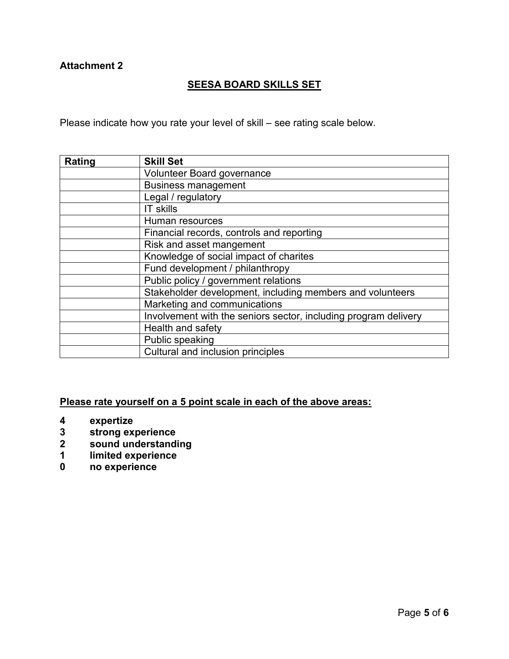## **Attachment 2**

# **SEESA BOARD SKILLS SET**

Please indicate how you rate your level of skill – see rating scale below.

| Rating | <b>Skill Set</b>                                                |
|--------|-----------------------------------------------------------------|
|        | Volunteer Board governance                                      |
|        | <b>Business management</b>                                      |
|        | Legal / regulatory                                              |
|        | <b>IT skills</b>                                                |
|        | Human resources                                                 |
|        | Financial records, controls and reporting                       |
|        | Risk and asset mangement                                        |
|        | Knowledge of social impact of charites                          |
|        | Fund development / philanthropy                                 |
|        | Public policy / government relations                            |
|        | Stakeholder development, including members and volunteers       |
|        | Marketing and communications                                    |
|        | Involvement with the seniors sector, including program delivery |
|        | Health and safety                                               |
|        | Public speaking                                                 |
|        | Cultural and inclusion principles                               |

### **Please rate yourself on a 5 point scale in each of the above areas:**

- **4 expertize**
- **3 strong experience**
- **2 sound understanding**
- **1 limited experience**
- **0 no experience**